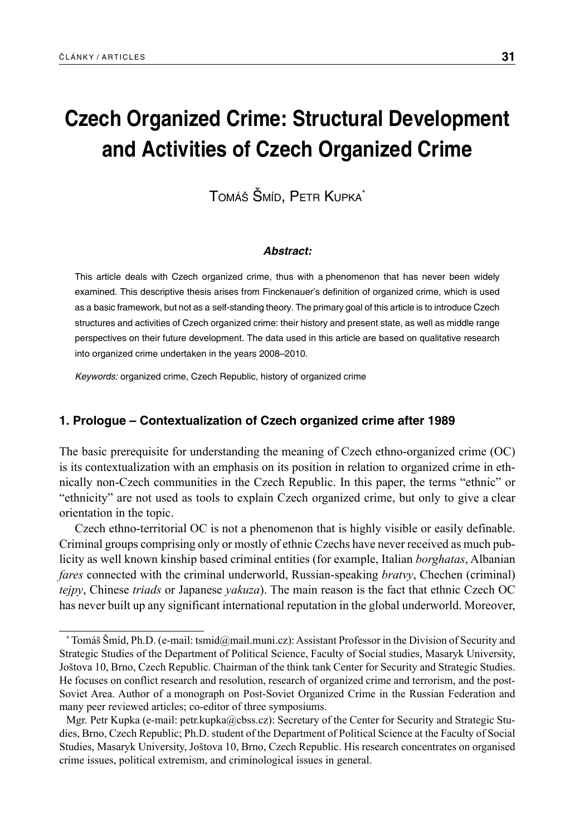# **Czech Organized Crime: Structural Development and Activities of Czech Organized Crime**

TOMÁŠ ŠMÍD, PETR KUPKA\*

#### *Abstract:*

This article deals with Czech organized crime, thus with a phenomenon that has never been widely examined. This descriptive thesis arises from Finckenauer's definition of organized crime, which is used as a basic framework, but not as a self-standing theory. The primary goal of this article is to introduce Czech structures and activities of Czech organized crime: their history and present state, as well as middle range perspectives on their future development. The data used in this article are based on qualitative research into organized crime undertaken in the years 2008–2010.

*Keywords:* organized crime, Czech Republic, history of organized crime

# **1. Prologue – Contextualization of Czech organized crime after 1989**

The basic prerequisite for understanding the meaning of Czech ethno-organized crime (OC) is its contextualization with an emphasis on its position in relation to organized crime in ethnically non-Czech communities in the Czech Republic. In this paper, the terms "ethnic" or "ethnicity" are not used as tools to explain Czech organized crime, but only to give a clear orientation in the topic.

Czech ethno-territorial OC is not a phenomenon that is highly visible or easily definable. Criminal groups comprising only or mostly of ethnic Czechs have never received as much publicity as well known kinship based criminal entities (for example, Italian *borghatas*, Albanian *fares* connected with the criminal underworld, Russian-speaking *bratvy*, Chechen (criminal) *tejpy*, Chinese *triads* or Japanese *yakuza*). The main reason is the fact that ethnic Czech OC has never built up any significant international reputation in the global underworld. Moreover,

<sup>\*</sup> Tomáš Šmíd, Ph.D. (e-mail: tsmid@mail.muni.cz): Assistant Professor in the Division of Security and Strategic Studies of the Department of Political Science, Faculty of Social studies, Masaryk University, Joštova 10, Brno, Czech Republic. Chairman of the think tank Center for Security and Strategic Studies. He focuses on conflict research and resolution, research of organized crime and terrorism, and the post-Soviet Area. Author of a monograph on Post-Soviet Organized Crime in the Russian Federation and many peer reviewed articles; co-editor of three symposiums.

Mgr. Petr Kupka (e-mail: petr.kupka@cbss.cz): Secretary of the Center for Security and Strategic Studies, Brno, Czech Republic; Ph.D. student of the Department of Political Science at the Faculty of Social Studies, Masaryk University, Joštova 10, Brno, Czech Republic. His research concentrates on organised crime issues, political extremism, and criminological issues in general.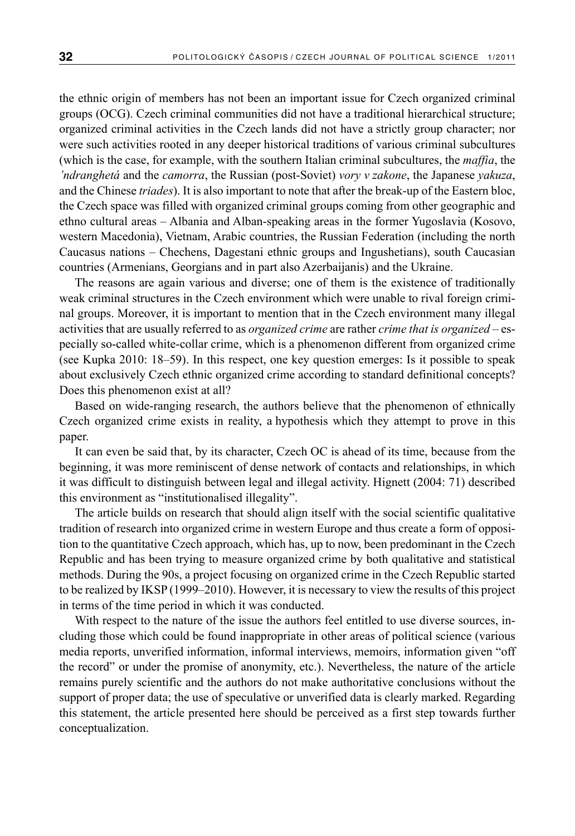the ethnic origin of members has not been an important issue for Czech organized criminal groups (OCG). Czech criminal communities did not have a traditional hierarchical structure; organized criminal activities in the Czech lands did not have a strictly group character; nor were such activities rooted in any deeper historical traditions of various criminal subcultures (which is the case, for example, with the southern Italian criminal subcultures, the *maffia*, the *'ndranghetá* and the *camorra*, the Russian (post-Soviet) *vory v zakone*, the Japanese *yakuza*, and the Chinese *triades*). It is also important to note that after the break-up of the Eastern bloc, the Czech space was filled with organized criminal groups coming from other geographic and ethno cultural areas – Albania and Alban-speaking areas in the former Yugoslavia (Kosovo, western Macedonia), Vietnam, Arabic countries, the Russian Federation (including the north Caucasus nations – Chechens, Dagestani ethnic groups and Ingushetians), south Caucasian countries (Armenians, Georgians and in part also Azerbaijanis) and the Ukraine.

The reasons are again various and diverse; one of them is the existence of traditionally weak criminal structures in the Czech environment which were unable to rival foreign criminal groups. Moreover, it is important to mention that in the Czech environment many illegal activities that are usually referred to as *organized crime* are rather *crime that is organized* – especially so-called white-collar crime, which is a phenomenon different from organized crime (see Kupka 2010: 18–59). In this respect, one key question emerges: Is it possible to speak about exclusively Czech ethnic organized crime according to standard definitional concepts? Does this phenomenon exist at all?

Based on wide-ranging research, the authors believe that the phenomenon of ethnically Czech organized crime exists in reality, a hypothesis which they attempt to prove in this paper.

It can even be said that, by its character, Czech OC is ahead of its time, because from the beginning, it was more reminiscent of dense network of contacts and relationships, in which it was difficult to distinguish between legal and illegal activity. Hignett (2004: 71) described this environment as "institutionalised illegality".

The article builds on research that should align itself with the social scientific qualitative tradition of research into organized crime in western Europe and thus create a form of opposition to the quantitative Czech approach, which has, up to now, been predominant in the Czech Republic and has been trying to measure organized crime by both qualitative and statistical methods. During the 90s, a project focusing on organized crime in the Czech Republic started to be realized by IKSP (1999–2010). However, it is necessary to view the results of this project in terms of the time period in which it was conducted.

With respect to the nature of the issue the authors feel entitled to use diverse sources, including those which could be found inappropriate in other areas of political science (various media reports, unverified information, informal interviews, memoirs, information given "off the record" or under the promise of anonymity, etc.). Nevertheless, the nature of the article remains purely scientific and the authors do not make authoritative conclusions without the support of proper data; the use of speculative or unverified data is clearly marked. Regarding this statement, the article presented here should be perceived as a first step towards further conceptualization.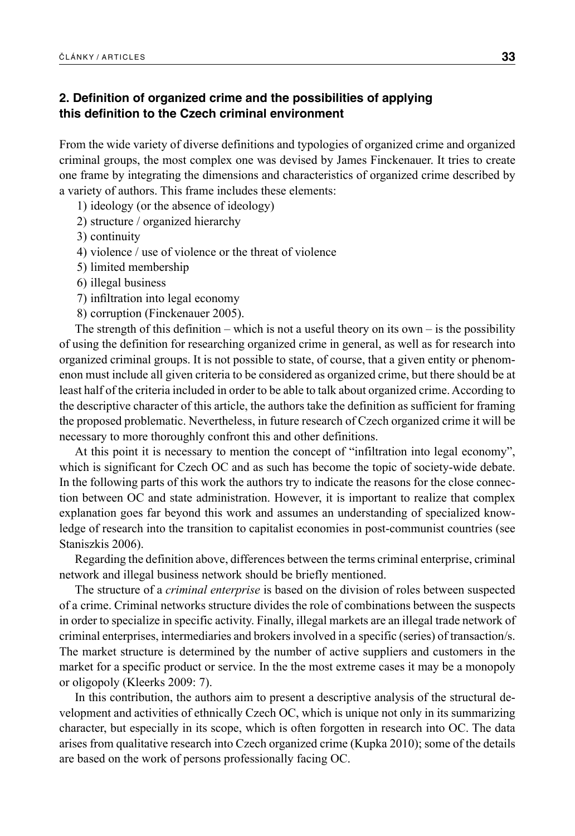# **2. Definition of organized crime and the possibilities of applying this definition to the Czech criminal environment**

From the wide variety of diverse definitions and typologies of organized crime and organized criminal groups, the most complex one was devised by James Finckenauer. It tries to create one frame by integrating the dimensions and characteristics of organized crime described by a variety of authors. This frame includes these elements:

1) ideology (or the absence of ideology)

2) structure / organized hierarchy

3) continuity

4) violence / use of violence or the threat of violence

5) limited membership

6) illegal business

7) infiltration into legal economy

8) corruption (Finckenauer 2005).

The strength of this definition – which is not a useful theory on its own – is the possibility of using the definition for researching organized crime in general, as well as for research into organized criminal groups. It is not possible to state, of course, that a given entity or phenomenon must include all given criteria to be considered as organized crime, but there should be at least half of the criteria included in order to be able to talk about organized crime. According to the descriptive character of this article, the authors take the definition as sufficient for framing the proposed problematic. Nevertheless, in future research of Czech organized crime it will be necessary to more thoroughly confront this and other definitions.

At this point it is necessary to mention the concept of "infiltration into legal economy", which is significant for Czech OC and as such has become the topic of society-wide debate. In the following parts of this work the authors try to indicate the reasons for the close connection between OC and state administration. However, it is important to realize that complex explanation goes far beyond this work and assumes an understanding of specialized knowledge of research into the transition to capitalist economies in post-communist countries (see Staniszkis 2006).

Regarding the definition above, differences between the terms criminal enterprise, criminal network and illegal business network should be briefly mentioned.

The structure of a *criminal enterprise* is based on the division of roles between suspected of a crime. Criminal networks structure divides the role of combinations between the suspects in order to specialize in specific activity. Finally, illegal markets are an illegal trade network of criminal enterprises, intermediaries and brokers involved in a specific (series) of transaction/s. The market structure is determined by the number of active suppliers and customers in the market for a specific product or service. In the the most extreme cases it may be a monopoly or oligopoly (Kleerks 2009: 7).

In this contribution, the authors aim to present a descriptive analysis of the structural development and activities of ethnically Czech OC, which is unique not only in its summarizing character, but especially in its scope, which is often forgotten in research into OC. The data arises from qualitative research into Czech organized crime (Kupka 2010); some of the details are based on the work of persons professionally facing OC.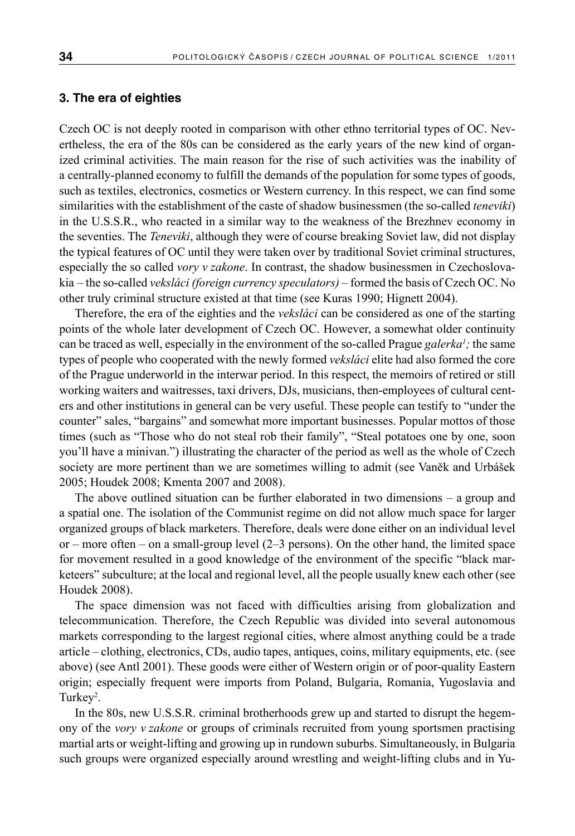## **3. The era of eighties**

Czech OC is not deeply rooted in comparison with other ethno territorial types of OC. Nevertheless, the era of the 80s can be considered as the early years of the new kind of organized criminal activities. The main reason for the rise of such activities was the inability of a centrally-planned economy to fulfill the demands of the population for some types of goods, such as textiles, electronics, cosmetics or Western currency. In this respect, we can find some similarities with the establishment of the caste of shadow businessmen (the so-called *teneviki*) in the U.S.S.R., who reacted in a similar way to the weakness of the Brezhnev economy in the seventies. The *Teneviki*, although they were of course breaking Soviet law, did not display the typical features of OC until they were taken over by traditional Soviet criminal structures, especially the so called *vory v zakone*. In contrast, the shadow businessmen in Czechoslovakia – the so-called *veksláci (foreign currency speculators)* – formed the basis of Czech OC. No other truly criminal structure existed at that time (see Kuras 1990; Hignett 2004).

Therefore, the era of the eighties and the *veksláci* can be considered as one of the starting points of the whole later development of Czech OC. However, a somewhat older continuity can be traced as well, especially in the environment of the so-called Prague *galerka<sup>1</sup>*; the same types of people who cooperated with the newly formed *veksláci* elite had also formed the core of the Prague underworld in the interwar period. In this respect, the memoirs of retired or still working waiters and waitresses, taxi drivers, DJs, musicians, then-employees of cultural centers and other institutions in general can be very useful. These people can testify to "under the counter" sales, "bargains" and somewhat more important businesses. Popular mottos of those times (such as "Those who do not steal rob their family", "Steal potatoes one by one, soon you'll have a minivan.") illustrating the character of the period as well as the whole of Czech society are more pertinent than we are sometimes willing to admit (see Vaněk and Urbášek 2005; Houdek 2008; Kmenta 2007 and 2008).

The above outlined situation can be further elaborated in two dimensions – a group and a spatial one. The isolation of the Communist regime on did not allow much space for larger organized groups of black marketers. Therefore, deals were done either on an individual level or – more often – on a small-group level (2–3 persons). On the other hand, the limited space for movement resulted in a good knowledge of the environment of the specific "black marketeers" subculture; at the local and regional level, all the people usually knew each other (see Houdek 2008).

The space dimension was not faced with difficulties arising from globalization and telecommunication. Therefore, the Czech Republic was divided into several autonomous markets corresponding to the largest regional cities, where almost anything could be a trade article – clothing, electronics, CDs, audio tapes, antiques, coins, military equipments, etc. (see above) (see Antl 2001). These goods were either of Western origin or of poor-quality Eastern origin; especially frequent were imports from Poland, Bulgaria, Romania, Yugoslavia and Turkey<sup>2</sup>.

In the 80s, new U.S.S.R. criminal brotherhoods grew up and started to disrupt the hegemony of the *vory v zakone* or groups of criminals recruited from young sportsmen practising martial arts or weight-lifting and growing up in rundown suburbs. Simultaneously, in Bulgaria such groups were organized especially around wrestling and weight-lifting clubs and in Yu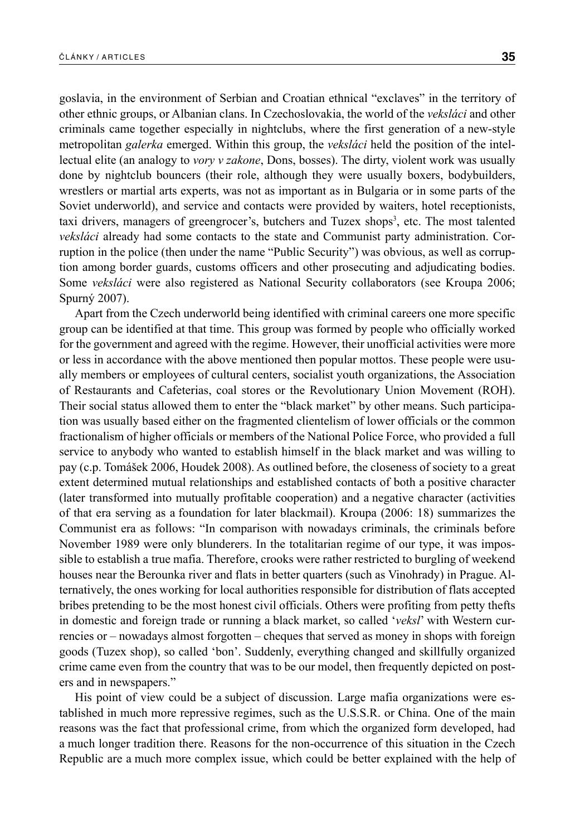goslavia, in the environment of Serbian and Croatian ethnical "exclaves" in the territory of other ethnic groups, or Albanian clans. In Czechoslovakia, the world of the *veksláci* and other criminals came together especially in nightclubs, where the first generation of a new-style metropolitan *galerka* emerged. Within this group, the *veksláci* held the position of the intellectual elite (an analogy to *vory v zakone*, Dons, bosses). The dirty, violent work was usually done by nightclub bouncers (their role, although they were usually boxers, bodybuilders, wrestlers or martial arts experts, was not as important as in Bulgaria or in some parts of the Soviet underworld), and service and contacts were provided by waiters, hotel receptionists, taxi drivers, managers of greengrocer's, butchers and Tuzex shops<sup>3</sup>, etc. The most talented *veksláci* already had some contacts to the state and Communist party administration. Corruption in the police (then under the name "Public Security") was obvious, as well as corruption among border guards, customs officers and other prosecuting and adjudicating bodies. Some *veksláci* were also registered as National Security collaborators (see Kroupa 2006; Spurný 2007).

Apart from the Czech underworld being identified with criminal careers one more specific group can be identified at that time. This group was formed by people who officially worked for the government and agreed with the regime. However, their unofficial activities were more or less in accordance with the above mentioned then popular mottos. These people were usually members or employees of cultural centers, socialist youth organizations, the Association of Restaurants and Cafeterias, coal stores or the Revolutionary Union Movement (ROH). Their social status allowed them to enter the "black market" by other means. Such participation was usually based either on the fragmented clientelism of lower officials or the common fractionalism of higher officials or members of the National Police Force, who provided a full service to anybody who wanted to establish himself in the black market and was willing to pay (c.p. Tomášek 2006, Houdek 2008). As outlined before, the closeness of society to a great extent determined mutual relationships and established contacts of both a positive character (later transformed into mutually profitable cooperation) and a negative character (activities of that era serving as a foundation for later blackmail). Kroupa (2006: 18) summarizes the Communist era as follows: "In comparison with nowadays criminals, the criminals before November 1989 were only blunderers. In the totalitarian regime of our type, it was impossible to establish a true mafia. Therefore, crooks were rather restricted to burgling of weekend houses near the Berounka river and flats in better quarters (such as Vinohrady) in Prague. Alternatively, the ones working for local authorities responsible for distribution of flats accepted bribes pretending to be the most honest civil officials. Others were profiting from petty thefts in domestic and foreign trade or running a black market, so called '*veksl*' with Western currencies or – nowadays almost forgotten – cheques that served as money in shops with foreign goods (Tuzex shop), so called 'bon'. Suddenly, everything changed and skillfully organized crime came even from the country that was to be our model, then frequently depicted on posters and in newspapers."

His point of view could be a subject of discussion. Large mafia organizations were established in much more repressive regimes, such as the U.S.S.R. or China. One of the main reasons was the fact that professional crime, from which the organized form developed, had a much longer tradition there. Reasons for the non-occurrence of this situation in the Czech Republic are a much more complex issue, which could be better explained with the help of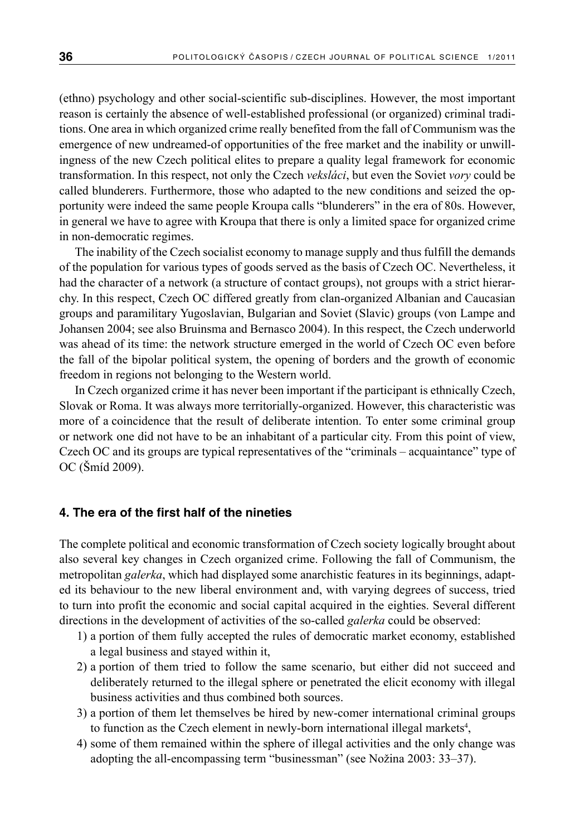(ethno) psychology and other social-scientific sub-disciplines. However, the most important reason is certainly the absence of well-established professional (or organized) criminal traditions. One area in which organized crime really benefited from the fall of Communism was the emergence of new undreamed-of opportunities of the free market and the inability or unwillingness of the new Czech political elites to prepare a quality legal framework for economic transformation. In this respect, not only the Czech *veksláci*, but even the Soviet *vory* could be called blunderers. Furthermore, those who adapted to the new conditions and seized the opportunity were indeed the same people Kroupa calls "blunderers" in the era of 80s. However, in general we have to agree with Kroupa that there is only a limited space for organized crime in non-democratic regimes.

The inability of the Czech socialist economy to manage supply and thus fulfill the demands of the population for various types of goods served as the basis of Czech OC. Nevertheless, it had the character of a network (a structure of contact groups), not groups with a strict hierarchy. In this respect, Czech OC differed greatly from clan-organized Albanian and Caucasian groups and paramilitary Yugoslavian, Bulgarian and Soviet (Slavic) groups (von Lampe and Johansen 2004; see also Bruinsma and Bernasco 2004). In this respect, the Czech underworld was ahead of its time: the network structure emerged in the world of Czech OC even before the fall of the bipolar political system, the opening of borders and the growth of economic freedom in regions not belonging to the Western world.

In Czech organized crime it has never been important if the participant is ethnically Czech, Slovak or Roma. It was always more territorially-organized. However, this characteristic was more of a coincidence that the result of deliberate intention. To enter some criminal group or network one did not have to be an inhabitant of a particular city. From this point of view, Czech OC and its groups are typical representatives of the "criminals – acquaintance" type of OC (Šmíd 2009).

## **4. The era of the first half of the nineties**

The complete political and economic transformation of Czech society logically brought about also several key changes in Czech organized crime. Following the fall of Communism, the metropolitan *galerka*, which had displayed some anarchistic features in its beginnings, adapted its behaviour to the new liberal environment and, with varying degrees of success, tried to turn into profit the economic and social capital acquired in the eighties. Several different directions in the development of activities of the so-called *galerka* could be observed:

- 1) a portion of them fully accepted the rules of democratic market economy, established a legal business and stayed within it,
- 2) a portion of them tried to follow the same scenario, but either did not succeed and deliberately returned to the illegal sphere or penetrated the elicit economy with illegal business activities and thus combined both sources.
- 3) a portion of them let themselves be hired by new-comer international criminal groups to function as the Czech element in newly-born international illegal markets<sup>4</sup>,
- 4) some of them remained within the sphere of illegal activities and the only change was adopting the all-encompassing term "businessman" (see Nožina 2003: 33–37).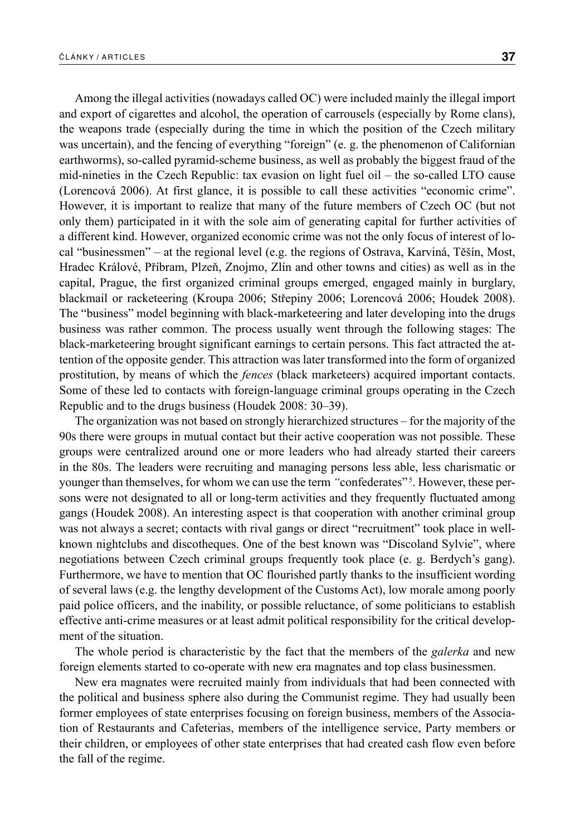Among the illegal activities (nowadays called OC) were included mainly the illegal import and export of cigarettes and alcohol, the operation of carrousels (especially by Rome clans), the weapons trade (especially during the time in which the position of the Czech military was uncertain), and the fencing of everything "foreign" (e. g. the phenomenon of Californian earthworms), so-called pyramid-scheme business, as well as probably the biggest fraud of the mid-nineties in the Czech Republic: tax evasion on light fuel oil – the so-called LTO cause (Lorencová 2006). At first glance, it is possible to call these activities "economic crime". However, it is important to realize that many of the future members of Czech OC (but not only them) participated in it with the sole aim of generating capital for further activities of a different kind. However, organized economic crime was not the only focus of interest of local "businessmen" – at the regional level (e.g. the regions of Ostrava, Karviná, Těšín, Most, Hradec Králové, Příbram, Plzeň, Znojmo, Zlín and other towns and cities) as well as in the capital, Prague, the first organized criminal groups emerged, engaged mainly in burglary, blackmail or racketeering (Kroupa 2006; Střepiny 2006; Lorencová 2006; Houdek 2008). The "business" model beginning with black-marketeering and later developing into the drugs business was rather common. The process usually went through the following stages: The black-marketeering brought significant earnings to certain persons. This fact attracted the attention of the opposite gender. This attraction was later transformed into the form of organized prostitution, by means of which the *fences* (black marketeers) acquired important contacts. Some of these led to contacts with foreign-language criminal groups operating in the Czech Republic and to the drugs business (Houdek 2008: 30–39).

The organization was not based on strongly hierarchized structures – for the majority of the 90s there were groups in mutual contact but their active cooperation was not possible. These groups were centralized around one or more leaders who had already started their careers in the 80s. The leaders were recruiting and managing persons less able, less charismatic or younger than themselves, for whom we can use the term "confederates"<sup>5</sup>. However, these persons were not designated to all or long-term activities and they frequently fluctuated among gangs (Houdek 2008). An interesting aspect is that cooperation with another criminal group was not always a secret; contacts with rival gangs or direct "recruitment" took place in wellknown nightclubs and discotheques. One of the best known was "Discoland Sylvie", where negotiations between Czech criminal groups frequently took place (e. g. Berdych's gang). Furthermore, we have to mention that OC flourished partly thanks to the insufficient wording of several laws (e.g. the lengthy development of the Customs Act), low morale among poorly paid police officers, and the inability, or possible reluctance, of some politicians to establish effective anti-crime measures or at least admit political responsibility for the critical development of the situation.

The whole period is characteristic by the fact that the members of the *galerka* and new foreign elements started to co-operate with new era magnates and top class businessmen.

New era magnates were recruited mainly from individuals that had been connected with the political and business sphere also during the Communist regime. They had usually been former employees of state enterprises focusing on foreign business, members of the Association of Restaurants and Cafeterias, members of the intelligence service, Party members or their children, or employees of other state enterprises that had created cash flow even before the fall of the regime.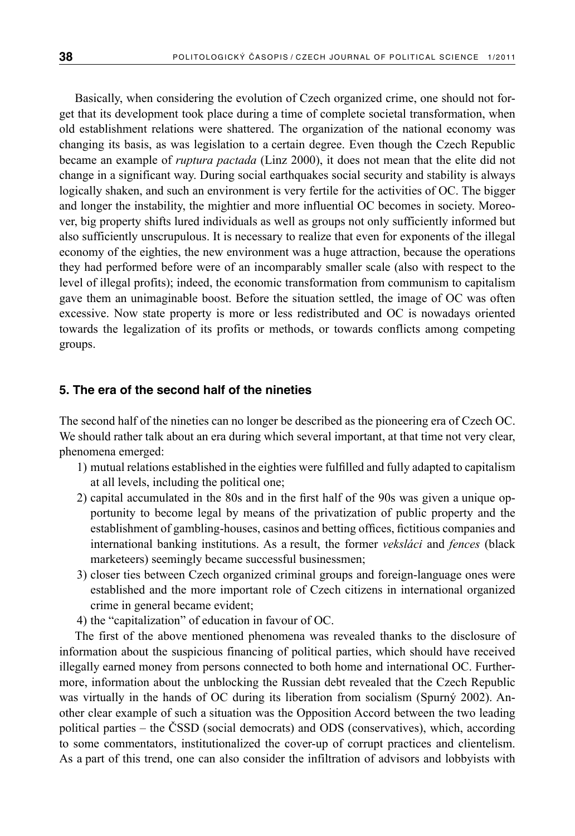Basically, when considering the evolution of Czech organized crime, one should not forget that its development took place during a time of complete societal transformation, when old establishment relations were shattered. The organization of the national economy was changing its basis, as was legislation to a certain degree. Even though the Czech Republic became an example of *ruptura pactada* (Linz 2000), it does not mean that the elite did not change in a significant way. During social earthquakes social security and stability is always logically shaken, and such an environment is very fertile for the activities of OC. The bigger and longer the instability, the mightier and more influential OC becomes in society. Moreover, big property shifts lured individuals as well as groups not only sufficiently informed but also sufficiently unscrupulous. It is necessary to realize that even for exponents of the illegal economy of the eighties, the new environment was a huge attraction, because the operations they had performed before were of an incomparably smaller scale (also with respect to the level of illegal profits); indeed, the economic transformation from communism to capitalism gave them an unimaginable boost. Before the situation settled, the image of OC was often excessive. Now state property is more or less redistributed and OC is nowadays oriented towards the legalization of its profits or methods, or towards conflicts among competing groups.

## **5. The era of the second half of the nineties**

The second half of the nineties can no longer be described as the pioneering era of Czech OC. We should rather talk about an era during which several important, at that time not very clear, phenomena emerged:

- 1) mutual relations established in the eighties were fulfilled and fully adapted to capitalism at all levels, including the political one;
- 2) capital accumulated in the 80s and in the first half of the 90s was given a unique opportunity to become legal by means of the privatization of public property and the establishment of gambling-houses, casinos and betting offices, fictitious companies and international banking institutions. As a result, the former *veksláci* and *fences* (black marketeers) seemingly became successful businessmen;
- 3) closer ties between Czech organized criminal groups and foreign-language ones were established and the more important role of Czech citizens in international organized crime in general became evident;
- 4) the "capitalization" of education in favour of OC.

The first of the above mentioned phenomena was revealed thanks to the disclosure of information about the suspicious financing of political parties, which should have received illegally earned money from persons connected to both home and international OC. Furthermore, information about the unblocking the Russian debt revealed that the Czech Republic was virtually in the hands of OC during its liberation from socialism (Spurný 2002). Another clear example of such a situation was the Opposition Accord between the two leading political parties – the ČSSD (social democrats) and ODS (conservatives), which, according to some commentators, institutionalized the cover-up of corrupt practices and clientelism. As a part of this trend, one can also consider the infiltration of advisors and lobbyists with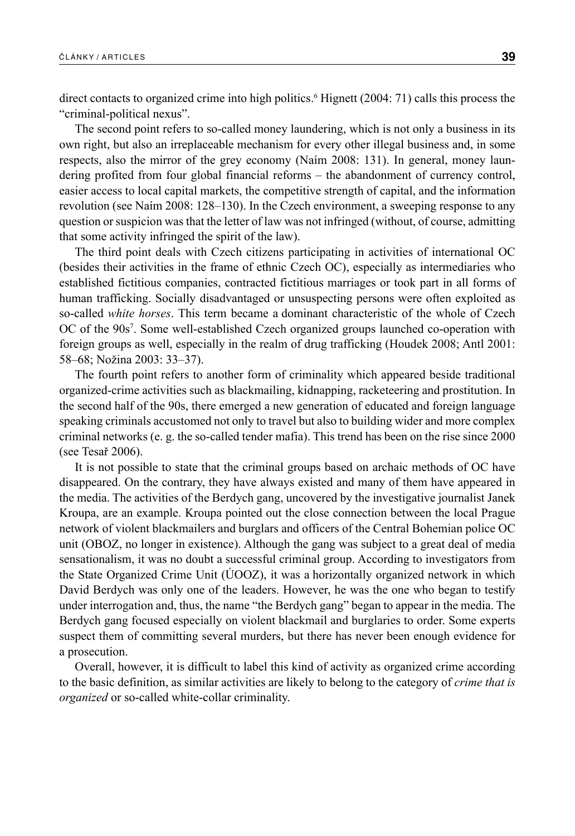direct contacts to organized crime into high politics.<sup>6</sup> Hignett (2004: 71) calls this process the "criminal-political nexus".

The second point refers to so-called money laundering, which is not only a business in its own right, but also an irreplaceable mechanism for every other illegal business and, in some respects, also the mirror of the grey economy (Naím 2008: 131). In general, money laundering profited from four global financial reforms – the abandonment of currency control, easier access to local capital markets, the competitive strength of capital, and the information revolution (see Naím 2008: 128–130). In the Czech environment, a sweeping response to any question or suspicion was that the letter of law was not infringed (without, of course, admitting that some activity infringed the spirit of the law).

The third point deals with Czech citizens participating in activities of international OC (besides their activities in the frame of ethnic Czech OC), especially as intermediaries who established fictitious companies, contracted fictitious marriages or took part in all forms of human trafficking. Socially disadvantaged or unsuspecting persons were often exploited as so-called *white horses*. This term became a dominant characteristic of the whole of Czech OC of the 90s<sup>7</sup>. Some well-established Czech organized groups launched co-operation with foreign groups as well, especially in the realm of drug trafficking (Houdek 2008; Antl 2001: 58–68; Nožina 2003: 33–37).

The fourth point refers to another form of criminality which appeared beside traditional organized-crime activities such as blackmailing, kidnapping, racketeering and prostitution. In the second half of the 90s, there emerged a new generation of educated and foreign language speaking criminals accustomed not only to travel but also to building wider and more complex criminal networks (e. g. the so-called tender mafia). This trend has been on the rise since 2000 (see Tesař 2006).

It is not possible to state that the criminal groups based on archaic methods of OC have disappeared. On the contrary, they have always existed and many of them have appeared in the media. The activities of the Berdych gang, uncovered by the investigative journalist Janek Kroupa, are an example. Kroupa pointed out the close connection between the local Prague network of violent blackmailers and burglars and officers of the Central Bohemian police OC unit (OBOZ, no longer in existence). Although the gang was subject to a great deal of media sensationalism, it was no doubt a successful criminal group. According to investigators from the State Organized Crime Unit (ÚOOZ), it was a horizontally organized network in which David Berdych was only one of the leaders. However, he was the one who began to testify under interrogation and, thus, the name "the Berdych gang" began to appear in the media. The Berdych gang focused especially on violent blackmail and burglaries to order. Some experts suspect them of committing several murders, but there has never been enough evidence for a prosecution.

Overall, however, it is difficult to label this kind of activity as organized crime according to the basic definition, as similar activities are likely to belong to the category of *crime that is organized* or so-called white-collar criminality.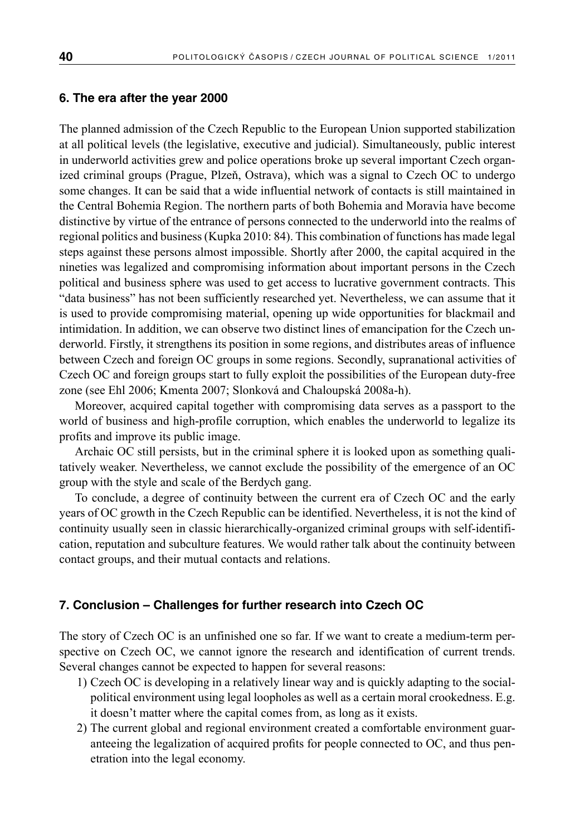#### **6. The era after the year 2000**

The planned admission of the Czech Republic to the European Union supported stabilization at all political levels (the legislative, executive and judicial). Simultaneously, public interest in underworld activities grew and police operations broke up several important Czech organized criminal groups (Prague, Plzeň, Ostrava), which was a signal to Czech OC to undergo some changes. It can be said that a wide influential network of contacts is still maintained in the Central Bohemia Region. The northern parts of both Bohemia and Moravia have become distinctive by virtue of the entrance of persons connected to the underworld into the realms of regional politics and business (Kupka 2010: 84). This combination of functions has made legal steps against these persons almost impossible. Shortly after 2000, the capital acquired in the nineties was legalized and compromising information about important persons in the Czech political and business sphere was used to get access to lucrative government contracts. This "data business" has not been sufficiently researched yet. Nevertheless, we can assume that it is used to provide compromising material, opening up wide opportunities for blackmail and intimidation. In addition, we can observe two distinct lines of emancipation for the Czech underworld. Firstly, it strengthens its position in some regions, and distributes areas of influence between Czech and foreign OC groups in some regions. Secondly, supranational activities of Czech OC and foreign groups start to fully exploit the possibilities of the European duty-free zone (see Ehl 2006; Kmenta 2007; Slonková and Chaloupská 2008a-h).

Moreover, acquired capital together with compromising data serves as a passport to the world of business and high-profile corruption, which enables the underworld to legalize its profits and improve its public image.

Archaic OC still persists, but in the criminal sphere it is looked upon as something qualitatively weaker. Nevertheless, we cannot exclude the possibility of the emergence of an OC group with the style and scale of the Berdych gang.

To conclude, a degree of continuity between the current era of Czech OC and the early years of OC growth in the Czech Republic can be identified. Nevertheless, it is not the kind of continuity usually seen in classic hierarchically-organized criminal groups with self-identification, reputation and subculture features. We would rather talk about the continuity between contact groups, and their mutual contacts and relations.

### **7. Conclusion – Challenges for further research into Czech OC**

The story of Czech OC is an unfinished one so far. If we want to create a medium-term perspective on Czech OC, we cannot ignore the research and identification of current trends. Several changes cannot be expected to happen for several reasons:

- 1) Czech OC is developing in a relatively linear way and is quickly adapting to the socialpolitical environment using legal loopholes as well as a certain moral crookedness. E.g. it doesn't matter where the capital comes from, as long as it exists.
- 2) The current global and regional environment created a comfortable environment guaranteeing the legalization of acquired profits for people connected to OC, and thus penetration into the legal economy.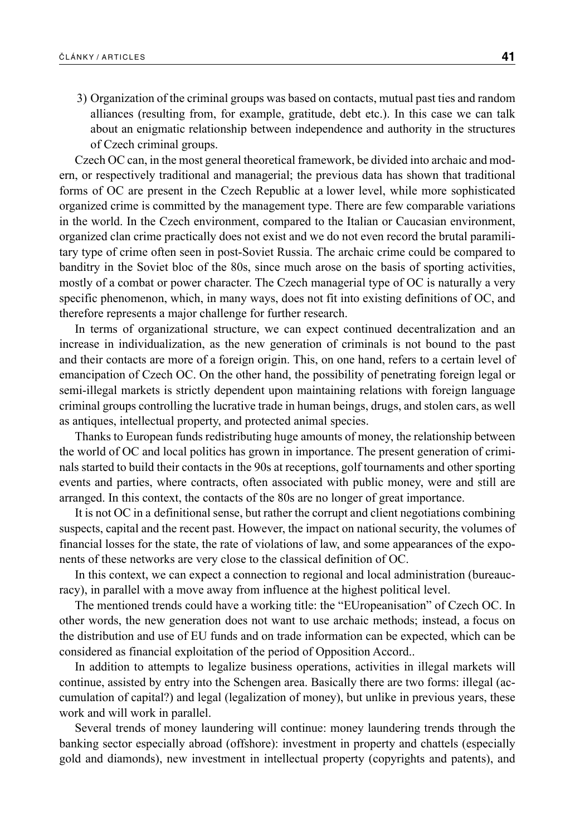3) Organization of the criminal groups was based on contacts, mutual past ties and random alliances (resulting from, for example, gratitude, debt etc.). In this case we can talk about an enigmatic relationship between independence and authority in the structures of Czech criminal groups.

Czech OC can, in the most general theoretical framework, be divided into archaic and modern, or respectively traditional and managerial; the previous data has shown that traditional forms of OC are present in the Czech Republic at a lower level, while more sophisticated organized crime is committed by the management type. There are few comparable variations in the world. In the Czech environment, compared to the Italian or Caucasian environment, organized clan crime practically does not exist and we do not even record the brutal paramilitary type of crime often seen in post-Soviet Russia. The archaic crime could be compared to banditry in the Soviet bloc of the 80s, since much arose on the basis of sporting activities, mostly of a combat or power character. The Czech managerial type of OC is naturally a very specific phenomenon, which, in many ways, does not fit into existing definitions of OC, and therefore represents a major challenge for further research.

In terms of organizational structure, we can expect continued decentralization and an increase in individualization, as the new generation of criminals is not bound to the past and their contacts are more of a foreign origin. This, on one hand, refers to a certain level of emancipation of Czech OC. On the other hand, the possibility of penetrating foreign legal or semi-illegal markets is strictly dependent upon maintaining relations with foreign language criminal groups controlling the lucrative trade in human beings, drugs, and stolen cars, as well as antiques, intellectual property, and protected animal species.

Thanks to European funds redistributing huge amounts of money, the relationship between the world of OC and local politics has grown in importance. The present generation of criminals started to build their contacts in the 90s at receptions, golf tournaments and other sporting events and parties, where contracts, often associated with public money, were and still are arranged. In this context, the contacts of the 80s are no longer of great importance.

It is not OC in a definitional sense, but rather the corrupt and client negotiations combining suspects, capital and the recent past. However, the impact on national security, the volumes of financial losses for the state, the rate of violations of law, and some appearances of the exponents of these networks are very close to the classical definition of OC.

In this context, we can expect a connection to regional and local administration (bureaucracy), in parallel with a move away from influence at the highest political level.

The mentioned trends could have a working title: the "EUropeanisation" of Czech OC. In other words, the new generation does not want to use archaic methods; instead, a focus on the distribution and use of EU funds and on trade information can be expected, which can be considered as financial exploitation of the period of Opposition Accord..

In addition to attempts to legalize business operations, activities in illegal markets will continue, assisted by entry into the Schengen area. Basically there are two forms: illegal (accumulation of capital?) and legal (legalization of money), but unlike in previous years, these work and will work in parallel.

Several trends of money laundering will continue: money laundering trends through the banking sector especially abroad (offshore): investment in property and chattels (especially gold and diamonds), new investment in intellectual property (copyrights and patents), and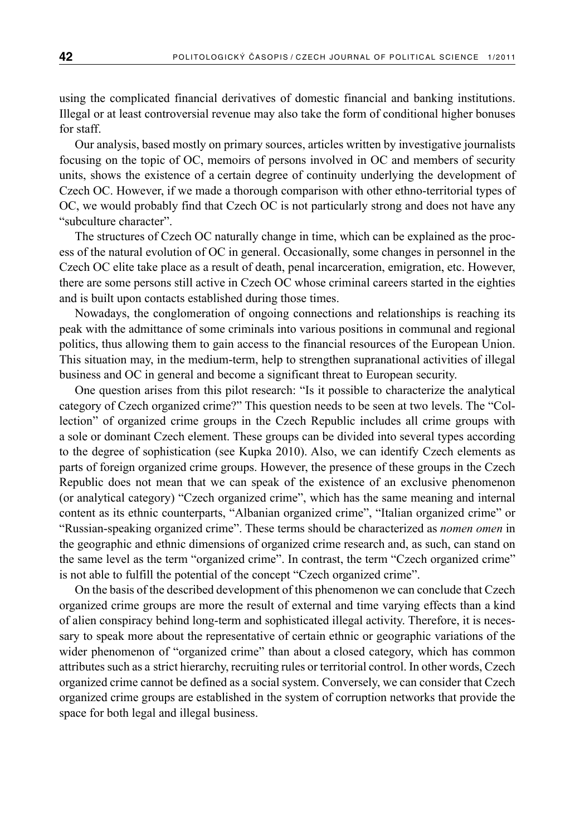using the complicated financial derivatives of domestic financial and banking institutions. Illegal or at least controversial revenue may also take the form of conditional higher bonuses for staff.

Our analysis, based mostly on primary sources, articles written by investigative journalists focusing on the topic of OC, memoirs of persons involved in OC and members of security units, shows the existence of a certain degree of continuity underlying the development of Czech OC. However, if we made a thorough comparison with other ethno-territorial types of OC, we would probably find that Czech OC is not particularly strong and does not have any "subculture character".

The structures of Czech OC naturally change in time, which can be explained as the process of the natural evolution of OC in general. Occasionally, some changes in personnel in the Czech OC elite take place as a result of death, penal incarceration, emigration, etc. However, there are some persons still active in Czech OC whose criminal careers started in the eighties and is built upon contacts established during those times.

Nowadays, the conglomeration of ongoing connections and relationships is reaching its peak with the admittance of some criminals into various positions in communal and regional politics, thus allowing them to gain access to the financial resources of the European Union. This situation may, in the medium-term, help to strengthen supranational activities of illegal business and OC in general and become a significant threat to European security.

One question arises from this pilot research: "Is it possible to characterize the analytical category of Czech organized crime?" This question needs to be seen at two levels. The "Collection" of organized crime groups in the Czech Republic includes all crime groups with a sole or dominant Czech element. These groups can be divided into several types according to the degree of sophistication (see Kupka 2010). Also, we can identify Czech elements as parts of foreign organized crime groups. However, the presence of these groups in the Czech Republic does not mean that we can speak of the existence of an exclusive phenomenon (or analytical category) "Czech organized crime", which has the same meaning and internal content as its ethnic counterparts, "Albanian organized crime", "Italian organized crime" or "Russian-speaking organized crime". These terms should be characterized as *nomen omen* in the geographic and ethnic dimensions of organized crime research and, as such, can stand on the same level as the term "organized crime". In contrast, the term "Czech organized crime" is not able to fulfill the potential of the concept "Czech organized crime".

On the basis of the described development of this phenomenon we can conclude that Czech organized crime groups are more the result of external and time varying effects than a kind of alien conspiracy behind long-term and sophisticated illegal activity. Therefore, it is necessary to speak more about the representative of certain ethnic or geographic variations of the wider phenomenon of "organized crime" than about a closed category, which has common attributes such as a strict hierarchy, recruiting rules or territorial control. In other words, Czech organized crime cannot be defined as a social system. Conversely, we can consider that Czech organized crime groups are established in the system of corruption networks that provide the space for both legal and illegal business.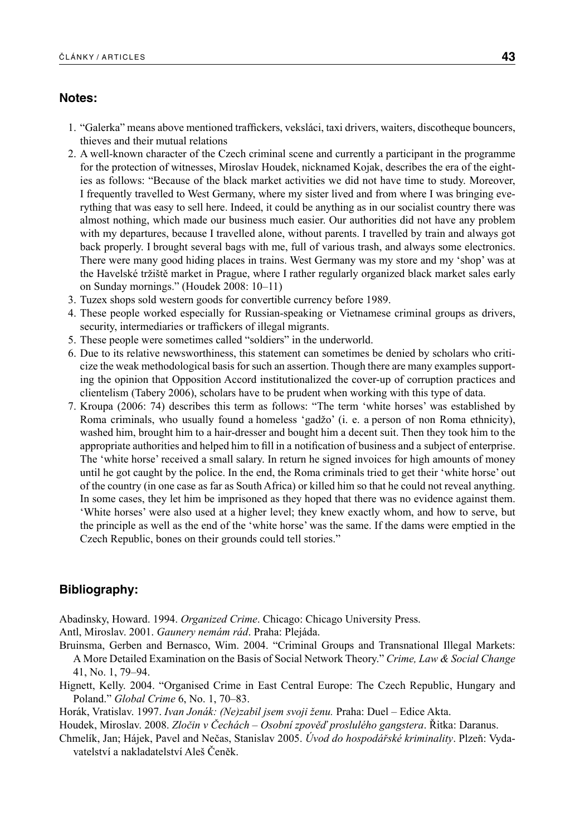#### **Notes:**

- 1. "Galerka" means above mentioned traffickers, veksláci, taxi drivers, waiters, discotheque bouncers, thieves and their mutual relations
- 2. A well-known character of the Czech criminal scene and currently a participant in the programme for the protection of witnesses, Miroslav Houdek, nicknamed Kojak, describes the era of the eighties as follows: "Because of the black market activities we did not have time to study. Moreover, I frequently travelled to West Germany, where my sister lived and from where I was bringing everything that was easy to sell here. Indeed, it could be anything as in our socialist country there was almost nothing, which made our business much easier. Our authorities did not have any problem with my departures, because I travelled alone, without parents. I travelled by train and always got back properly. I brought several bags with me, full of various trash, and always some electronics. There were many good hiding places in trains. West Germany was my store and my 'shop' was at the Havelské tržiště market in Prague, where I rather regularly organized black market sales early on Sunday mornings." (Houdek 2008: 10–11)
- 3. Tuzex shops sold western goods for convertible currency before 1989.
- 4. These people worked especially for Russian-speaking or Vietnamese criminal groups as drivers, security, intermediaries or traffickers of illegal migrants.
- 5. These people were sometimes called "soldiers" in the underworld.
- 6. Due to its relative newsworthiness, this statement can sometimes be denied by scholars who criticize the weak methodological basis for such an assertion. Though there are many examples supporting the opinion that Opposition Accord institutionalized the cover-up of corruption practices and clientelism (Tabery 2006), scholars have to be prudent when working with this type of data.
- 7. Kroupa (2006: 74) describes this term as follows: "The term 'white horses' was established by Roma criminals, who usually found a homeless 'gadžo' (i. e. a person of non Roma ethnicity), washed him, brought him to a hair-dresser and bought him a decent suit. Then they took him to the appropriate authorities and helped him to fill in a notification of business and a subject of enterprise. The 'white horse' received a small salary. In return he signed invoices for high amounts of money until he got caught by the police. In the end, the Roma criminals tried to get their 'white horse' out of the country (in one case as far as South Africa) or killed him so that he could not reveal anything. In some cases, they let him be imprisoned as they hoped that there was no evidence against them. 'White horses' were also used at a higher level; they knew exactly whom, and how to serve, but the principle as well as the end of the 'white horse' was the same. If the dams were emptied in the Czech Republic, bones on their grounds could tell stories."

## **Bibliography:**

Abadinsky, Howard. 1994. *Organized Crime*. Chicago: Chicago University Press.

Antl, Miroslav. 2001. *Gaunery nemám rád*. Praha: Plejáda.

- Bruinsma, Gerben and Bernasco, Wim. 2004. "Criminal Groups and Transnational Illegal Markets: A More Detailed Examination on the Basis of Social Network Theory." *Crime, Law & Social Change* 41, No. 1, 79–94.
- Hignett, Kelly. 2004. "Organised Crime in East Central Europe: The Czech Republic, Hungary and Poland." *Global Crime* 6, No. 1, 70–83.

Horák, Vratislav. 1997. *Ivan Jonák: (Ne)zabil jsem svoji ženu.* Praha: Duel – Edice Akta.

Houdek, Miroslav. 2008. *Zločin v Čechách – Osobní zpověď proslulého gangstera*. Řitka: Daranus.

Chmelík, Jan; Hájek, Pavel and Nečas, Stanislav 2005. *Úvod do hospodářské kriminality*. Plzeň: Vydavatelství a nakladatelství Aleš Čeněk.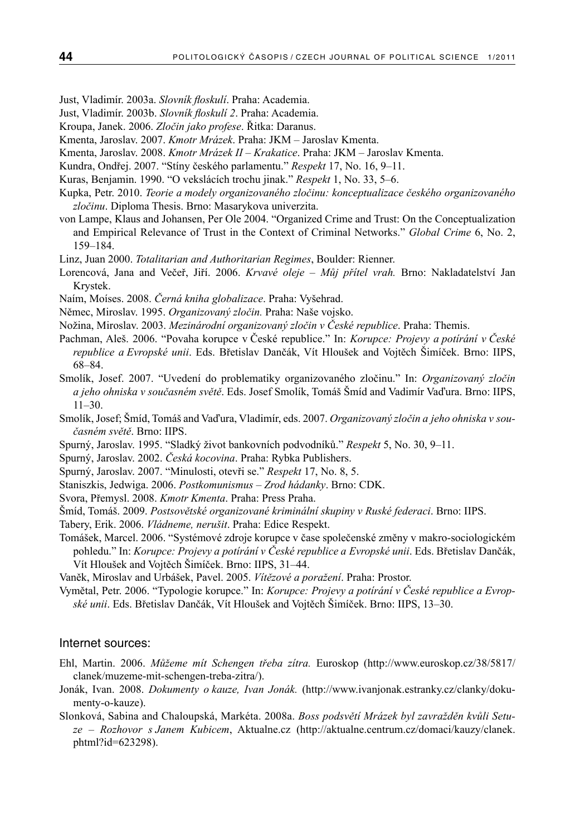- Just, Vladimír. 2003a. *Slovník floskulí*. Praha: Academia.
- Just, Vladimír. 2003b. *Slovník floskulí 2*. Praha: Academia.
- Kroupa, Janek. 2006. *Zločin jako profese*. Řitka: Daranus.
- Kmenta, Jaroslav. 2007. *Kmotr Mrázek*. Praha: JKM Jaroslav Kmenta.
- Kmenta, Jaroslav. 2008. *Kmotr Mrázek II Krakatice*. Praha: JKM Jaroslav Kmenta.
- Kundra, Ondřej. 2007. "Stíny českého parlamentu." *Respekt* 17, No. 16, 9–11.
- Kuras, Benjamin. 1990. "O vekslácích trochu jinak." *Respekt* 1, No. 33, 5–6.
- Kupka, Petr. 2010. *Teorie a modely organizovaného zločinu: konceptualizace českého organizovaného zločinu*. Diploma Thesis. Brno: Masarykova univerzita.
- von Lampe, Klaus and Johansen, Per Ole 2004. "Organized Crime and Trust: On the Conceptualization and Empirical Relevance of Trust in the Context of Criminal Networks." *Global Crime* 6, No. 2, 159–184.
- Linz, Juan 2000. *Totalitarian and Authoritarian Regimes*, Boulder: Rienner.
- Lorencová, Jana and Večeř, Jiří. 2006. *Krvavé oleje Můj přítel vrah.* Brno: Nakladatelství Jan Krystek.
- Naím, Moíses. 2008. *Černá kniha globalizace*. Praha: Vyšehrad.
- Němec, Miroslav. 1995. *Organizovaný zločin.* Praha: Naše vojsko.
- Nožina, Miroslav. 2003. *Mezinárodní organizovaný zločin v České republice*. Praha: Themis.
- Pachman, Aleš. 2006. "Povaha korupce v České republice." In: *Korupce: Projevy a potírání v České republice a Evropské unii*. Eds. Břetislav Dančák, Vít Hloušek and Vojtěch Šimíček. Brno: IIPS, 68–84.
- Smolík, Josef. 2007. "Uvedení do problematiky organizovaného zločinu." In: *Organizovaný zločin a jeho ohniska v současném světě*. Eds. Josef Smolík, Tomáš Šmíd and Vadimír Vaďura. Brno: IIPS, 11–30.
- Smolík, Josef; Šmíd, Tomáš and Vaďura, Vladimír, eds. 2007. *Organizovaný zločin a jeho ohniska v současném světě*. Brno: IIPS.
- Spurný, Jaroslav. 1995. "Sladký život bankovních podvodníků." *Respekt* 5, No. 30, 9–11.
- Spurný, Jaroslav. 2002. *Česká kocovina*. Praha: Rybka Publishers.
- Spurný, Jaroslav. 2007. "Minulosti, otevři se." *Respekt* 17, No. 8, 5.
- Staniszkis, Jedwiga. 2006. *Postkomunismus Zrod hádanky*. Brno: CDK.
- Svora, Přemysl. 2008. *Kmotr Kmenta*. Praha: Press Praha.
- Šmíd, Tomáš. 2009. *Postsovětské organizované kriminální skupiny v Ruské federaci*. Brno: IIPS.
- Tabery, Erik. 2006. *Vládneme, nerušit*. Praha: Edice Respekt.
- Tomášek, Marcel. 2006. "Systémové zdroje korupce v čase společenské změny v makro-sociologickém pohledu." In: *Korupce: Projevy a potírání v České republice a Evropské unii*. Eds. Břetislav Dančák, Vít Hloušek and Vojtěch Šimíček. Brno: IIPS, 31–44.
- Vaněk, Miroslav and Urbášek, Pavel. 2005. *Vítězové a poražení*. Praha: Prostor.
- Vymětal, Petr. 2006. "Typologie korupce." In: *Korupce: Projevy a potírání v České republice a Evropské unii*. Eds. Břetislav Dančák, Vít Hloušek and Vojtěch Šimíček. Brno: IIPS, 13–30.

#### Internet sources:

- Ehl, Martin. 2006. *Můžeme mít Schengen třeba zítra.* Euroskop (http://www.euroskop.cz/38/5817/ clanek/muzeme-mit-schengen-treba-zitra/).
- Jonák, Ivan. 2008. *Dokumenty o kauze, Ivan Jonák.* (http://www.ivanjonak.estranky.cz/clanky/dokumenty-o-kauze).
- Slonková, Sabina and Chaloupská, Markéta. 2008a. *Boss podsvětí Mrázek byl zavražděn kvůli Setuze – Rozhovor s Janem Kubicem*, Aktualne.cz (http://aktualne.centrum.cz/domaci/kauzy/clanek. phtml?id=623298).